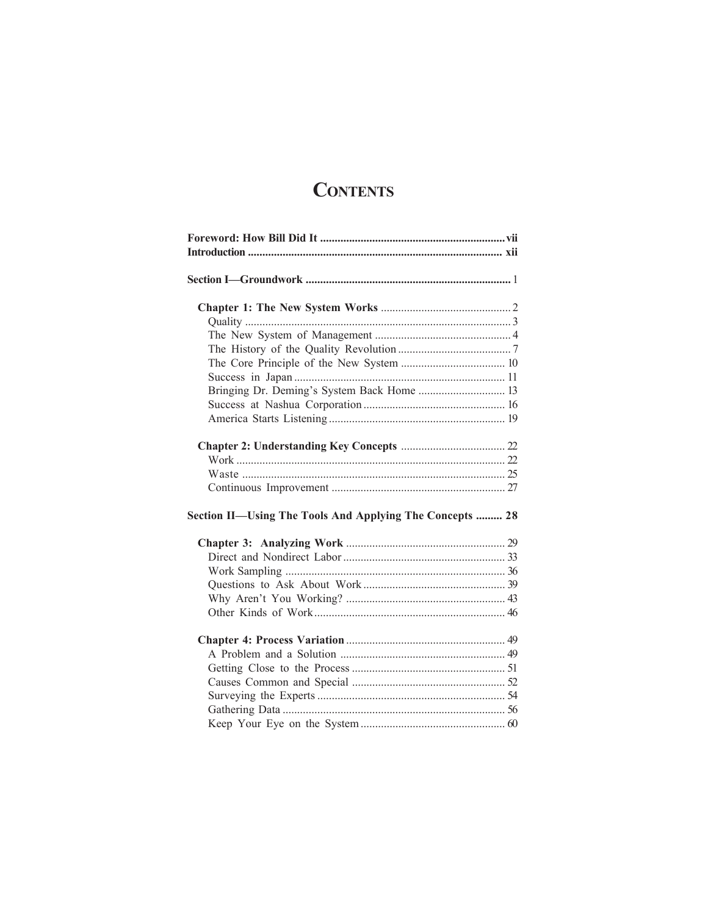# **CONTENTS**

| Bringing Dr. Deming's System Back Home  13               |  |
|----------------------------------------------------------|--|
|                                                          |  |
|                                                          |  |
|                                                          |  |
|                                                          |  |
|                                                          |  |
|                                                          |  |
|                                                          |  |
| Section II-Using The Tools And Applying The Concepts  28 |  |
|                                                          |  |
|                                                          |  |
|                                                          |  |
|                                                          |  |
|                                                          |  |
|                                                          |  |
|                                                          |  |
|                                                          |  |
|                                                          |  |
|                                                          |  |
|                                                          |  |
|                                                          |  |
|                                                          |  |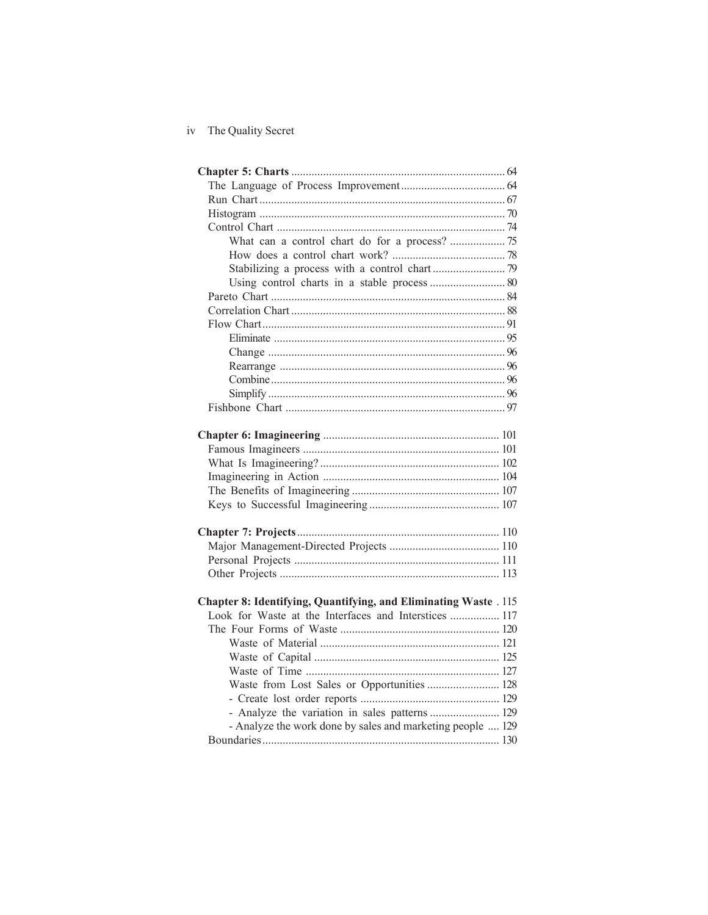| Using control charts in a stable process  80                     |  |
|------------------------------------------------------------------|--|
|                                                                  |  |
|                                                                  |  |
|                                                                  |  |
|                                                                  |  |
|                                                                  |  |
|                                                                  |  |
|                                                                  |  |
|                                                                  |  |
|                                                                  |  |
|                                                                  |  |
|                                                                  |  |
|                                                                  |  |
|                                                                  |  |
|                                                                  |  |
|                                                                  |  |
|                                                                  |  |
|                                                                  |  |
|                                                                  |  |
|                                                                  |  |
|                                                                  |  |
|                                                                  |  |
| Chapter 8: Identifying, Quantifying, and Eliminating Waste . 115 |  |
| Look for Waste at the Interfaces and Interstices  117            |  |
|                                                                  |  |
|                                                                  |  |
|                                                                  |  |
|                                                                  |  |
| Waste from Lost Sales or Opportunities 128                       |  |
|                                                                  |  |
| - Analyze the variation in sales patterns  129                   |  |
| - Analyze the work done by sales and marketing people  129       |  |
|                                                                  |  |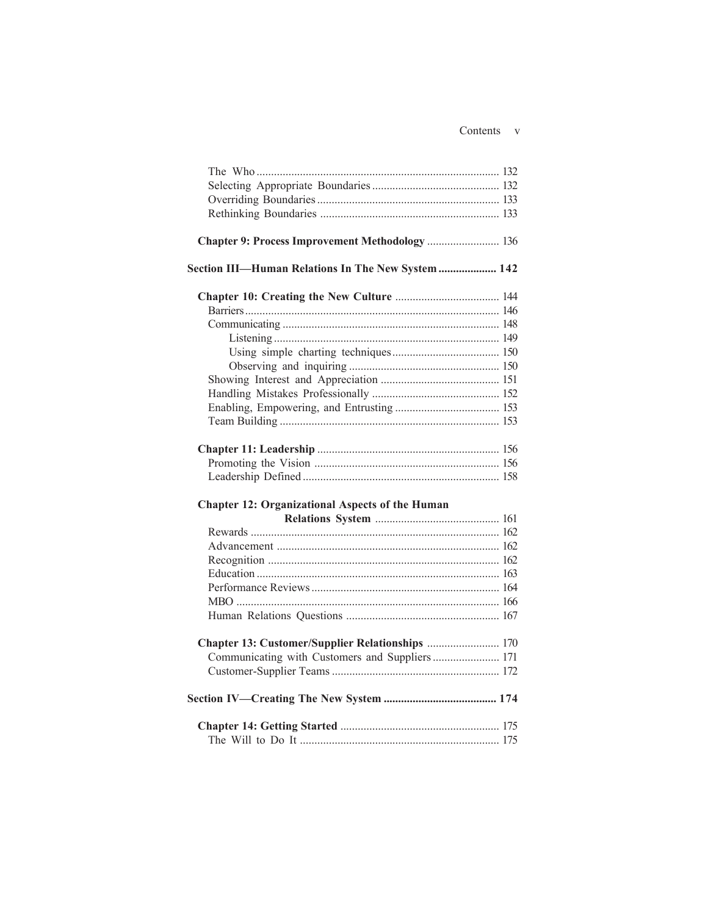| Chapter 9: Process Improvement Methodology  136        |  |
|--------------------------------------------------------|--|
|                                                        |  |
| Section III-Human Relations In The New System  142     |  |
|                                                        |  |
|                                                        |  |
|                                                        |  |
|                                                        |  |
|                                                        |  |
|                                                        |  |
|                                                        |  |
|                                                        |  |
|                                                        |  |
|                                                        |  |
|                                                        |  |
|                                                        |  |
|                                                        |  |
|                                                        |  |
| <b>Chapter 12: Organizational Aspects of the Human</b> |  |
|                                                        |  |
|                                                        |  |
|                                                        |  |
|                                                        |  |
|                                                        |  |
|                                                        |  |
|                                                        |  |
|                                                        |  |
| Chapter 13: Customer/Supplier Relationships  170       |  |
| Communicating with Customers and Suppliers 171         |  |
|                                                        |  |
|                                                        |  |
|                                                        |  |
|                                                        |  |
|                                                        |  |
|                                                        |  |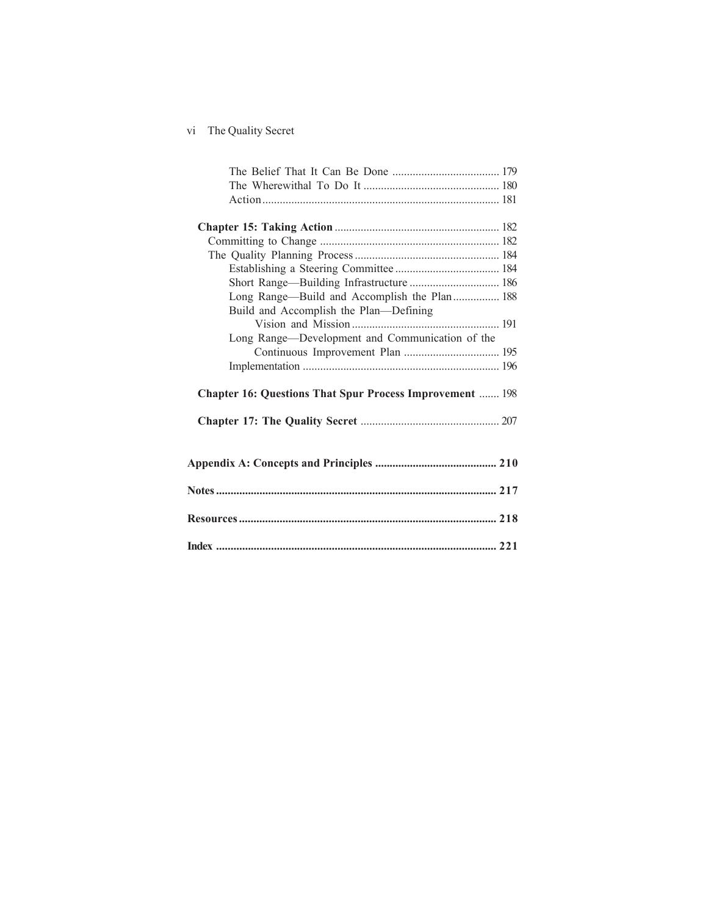| Long Range-Build and Accomplish the Plan 188                    |  |
|-----------------------------------------------------------------|--|
| Build and Accomplish the Plan-Defining                          |  |
|                                                                 |  |
| Long Range-Development and Communication of the                 |  |
|                                                                 |  |
|                                                                 |  |
|                                                                 |  |
| <b>Chapter 16: Questions That Spur Process Improvement  198</b> |  |
|                                                                 |  |
|                                                                 |  |
|                                                                 |  |
|                                                                 |  |
|                                                                 |  |
|                                                                 |  |
|                                                                 |  |
|                                                                 |  |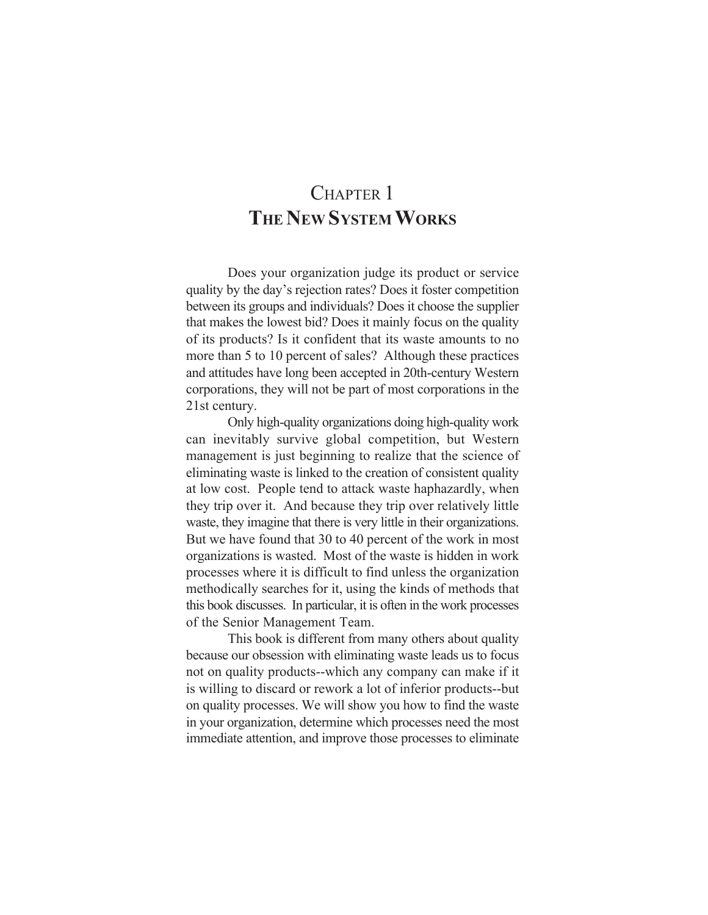### CHAPTER 1 **THE NEW SYSTEM WORKS**

Does your organization judge its product or service quality by the day's rejection rates? Does it foster competition between its groups and individuals? Does it choose the supplier that makes the lowest bid? Does it mainly focus on the quality of its products? Is it confident that its waste amounts to no more than 5 to 10 percent of sales? Although these practices and attitudes have long been accepted in 20th-century Western corporations, they will not be part of most corporations in the 21st century.

Only high-quality organizations doing high-quality work can inevitably survive global competition, but Western management is just beginning to realize that the science of eliminating waste is linked to the creation of consistent quality at low cost. People tend to attack waste haphazardly, when they trip over it. And because they trip over relatively little waste, they imagine that there is very little in their organizations. But we have found that 30 to 40 percent of the work in most organizations is wasted. Most of the waste is hidden in work processes where it is difficult to find unless the organization methodically searches for it, using the kinds of methods that this book discusses. In particular, it is often in the work processes of the Senior Management Team.

This book is different from many others about quality because our obsession with eliminating waste leads us to focus not on quality products--which any company can make if it is willing to discard or rework a lot of inferior products--but on quality processes. We will show you how to find the waste in your organization, determine which processes need the most immediate attention, and improve those processes to eliminate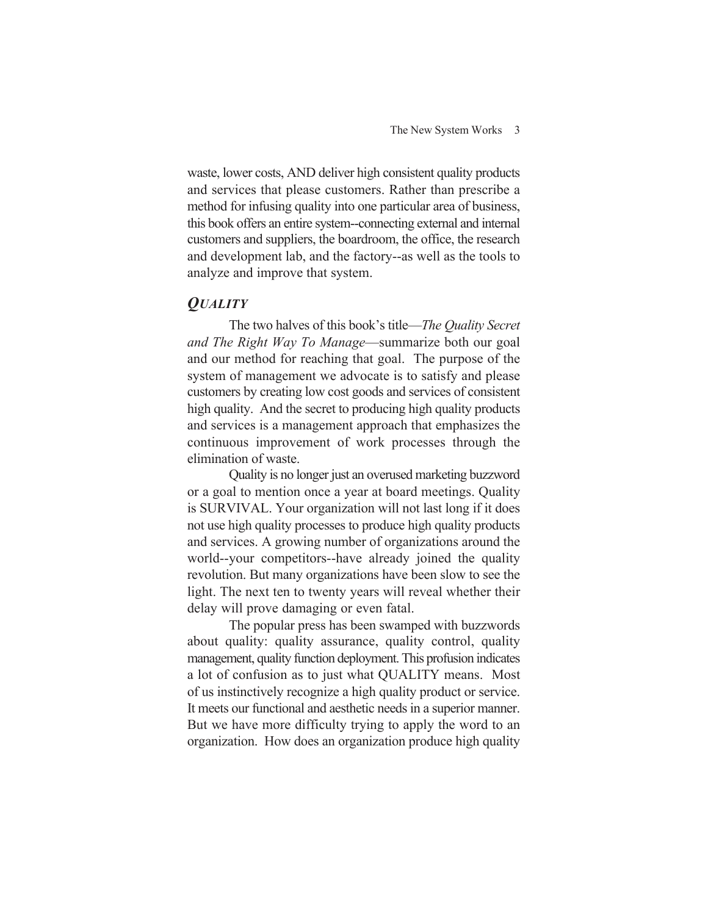waste, lower costs, AND deliver high consistent quality products and services that please customers. Rather than prescribe a method for infusing quality into one particular area of business, this book offers an entire system--connecting external and internal customers and suppliers, the boardroom, the office, the research and development lab, and the factory--as well as the tools to analyze and improve that system.

### *QUALITY*

The two halves of this book's title—*The Quality Secret and The Right Way To Manage*—summarize both our goal and our method for reaching that goal. The purpose of the system of management we advocate is to satisfy and please customers by creating low cost goods and services of consistent high quality. And the secret to producing high quality products and services is a management approach that emphasizes the continuous improvement of work processes through the elimination of waste.

Quality is no longer just an overused marketing buzzword or a goal to mention once a year at board meetings. Quality is SURVIVAL. Your organization will not last long if it does not use high quality processes to produce high quality products and services. A growing number of organizations around the world--your competitors--have already joined the quality revolution. But many organizations have been slow to see the light. The next ten to twenty years will reveal whether their delay will prove damaging or even fatal.

The popular press has been swamped with buzzwords about quality: quality assurance, quality control, quality management, quality function deployment. This profusion indicates a lot of confusion as to just what QUALITY means. Most of us instinctively recognize a high quality product or service. It meets our functional and aesthetic needs in a superior manner. But we have more difficulty trying to apply the word to an organization. How does an organization produce high quality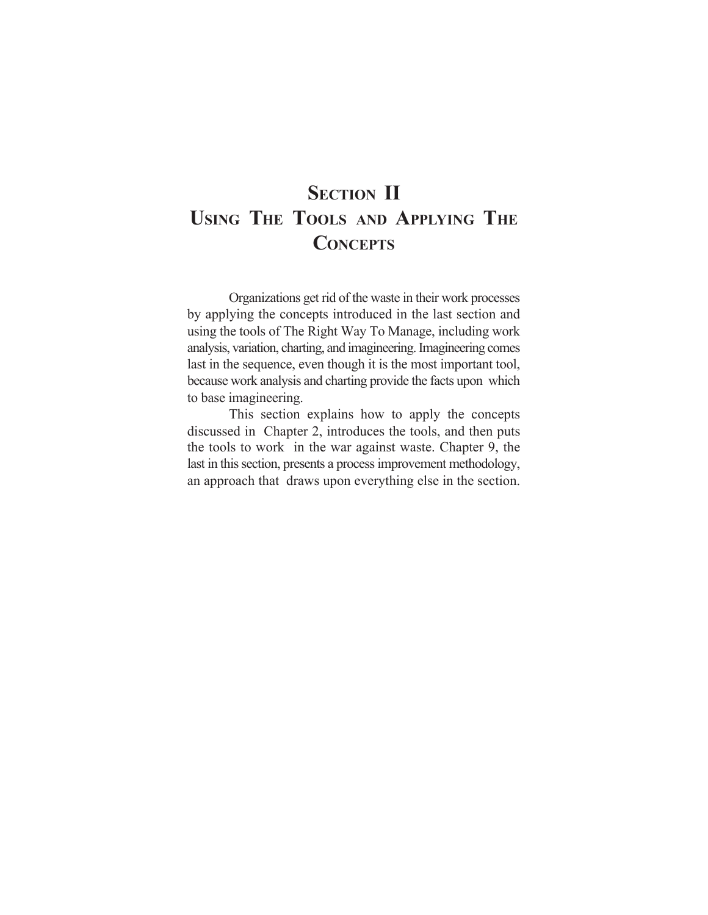# **SECTION II USING THE TOOLS AND APPLYING THE CONCEPTS**

Organizations get rid of the waste in their work processes by applying the concepts introduced in the last section and using the tools of The Right Way To Manage, including work analysis, variation, charting, and imagineering. Imagineering comes last in the sequence, even though it is the most important tool, because work analysis and charting provide the facts upon which to base imagineering.

This section explains how to apply the concepts discussed in Chapter 2, introduces the tools, and then puts the tools to work in the war against waste. Chapter 9, the last in this section, presents a process improvement methodology, an approach that draws upon everything else in the section.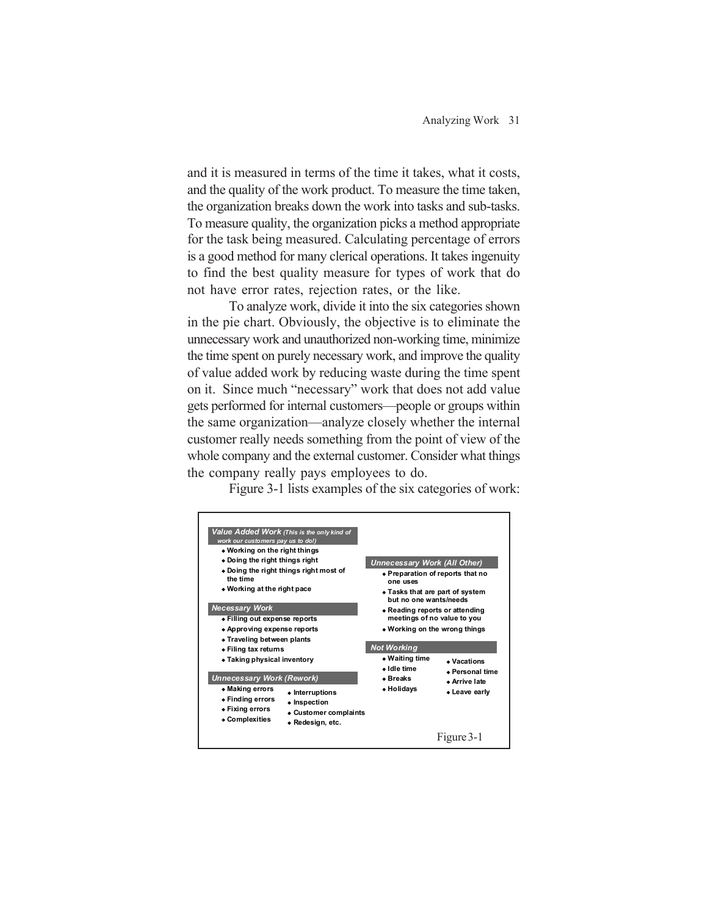and it is measured in terms of the time it takes, what it costs, and the quality of the work product. To measure the time taken, the organization breaks down the work into tasks and sub-tasks. To measure quality, the organization picks a method appropriate for the task being measured. Calculating percentage of errors is a good method for many clerical operations. It takes ingenuity to find the best quality measure for types of work that do not have error rates, rejection rates, or the like.

To analyze work, divide it into the six categories shown in the pie chart. Obviously, the objective is to eliminate the unnecessary work and unauthorized non-working time, minimize the time spent on purely necessary work, and improve the quality of value added work by reducing waste during the time spent on it. Since much "necessary" work that does not add value gets performed for internal customers—people or groups within the same organization—analyze closely whether the internal customer really needs something from the point of view of the whole company and the external customer. Consider what things the company really pays employees to do.

Figure 3-1 lists examples of the six categories of work:

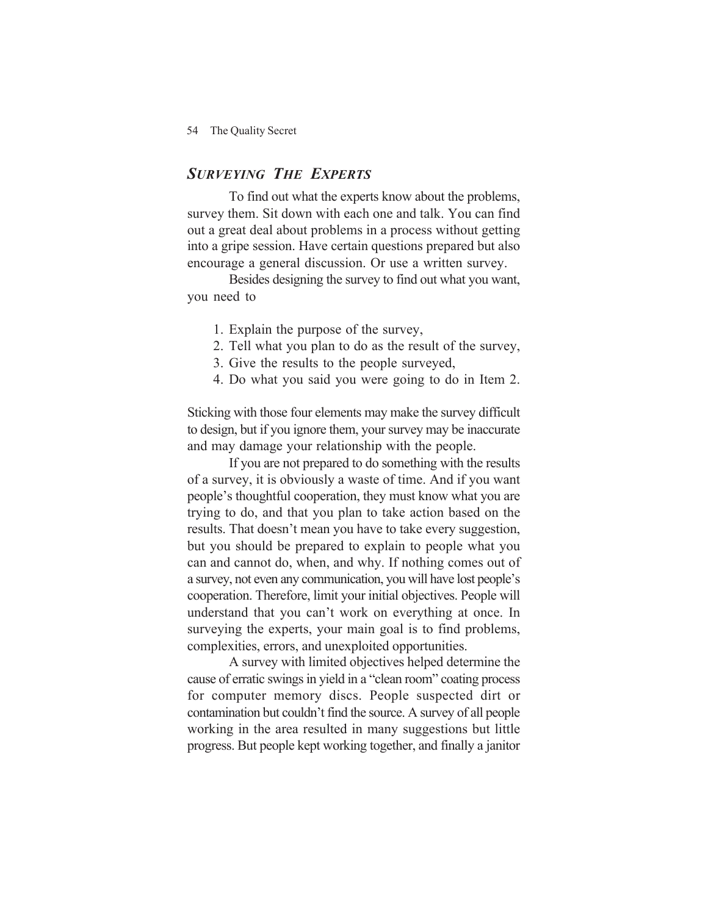#### *SURVEYING THE EXPERTS*

To find out what the experts know about the problems, survey them. Sit down with each one and talk. You can find out a great deal about problems in a process without getting into a gripe session. Have certain questions prepared but also encourage a general discussion. Or use a written survey.

Besides designing the survey to find out what you want, you need to

- 1. Explain the purpose of the survey,
- 2. Tell what you plan to do as the result of the survey,
- 3. Give the results to the people surveyed,
- 4. Do what you said you were going to do in Item 2.

Sticking with those four elements may make the survey difficult to design, but if you ignore them, your survey may be inaccurate and may damage your relationship with the people.

If you are not prepared to do something with the results of a survey, it is obviously a waste of time. And if you want people's thoughtful cooperation, they must know what you are trying to do, and that you plan to take action based on the results. That doesn't mean you have to take every suggestion, but you should be prepared to explain to people what you can and cannot do, when, and why. If nothing comes out of a survey, not even any communication, you will have lost people's cooperation. Therefore, limit your initial objectives. People will understand that you can't work on everything at once. In surveying the experts, your main goal is to find problems, complexities, errors, and unexploited opportunities.

A survey with limited objectives helped determine the cause of erratic swings in yield in a "clean room" coating process for computer memory discs. People suspected dirt or contamination but couldn't find the source. A survey of all people working in the area resulted in many suggestions but little progress. But people kept working together, and finally a janitor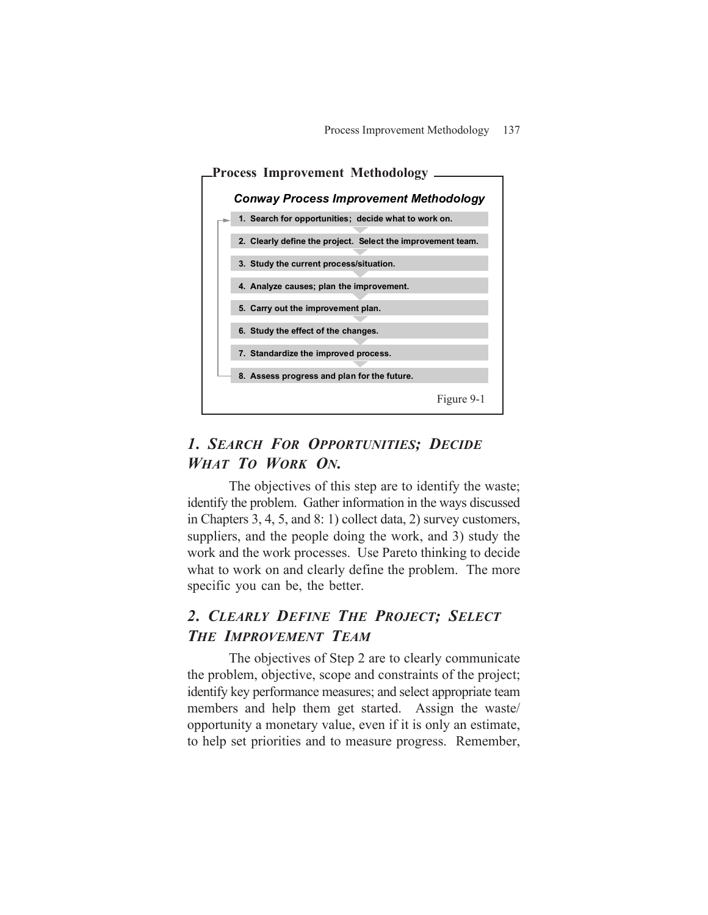

### *1. SEARCH FOR OPPORTUNITIES; DECIDE WHAT TO WORK ON.*

The objectives of this step are to identify the waste; identify the problem. Gather information in the ways discussed in Chapters 3, 4, 5, and 8: 1) collect data, 2) survey customers, suppliers, and the people doing the work, and 3) study the work and the work processes. Use Pareto thinking to decide what to work on and clearly define the problem. The more specific you can be, the better.

### *2. CLEARLY DEFINE THE PROJECT; SELECT THE IMPROVEMENT TEAM*

The objectives of Step 2 are to clearly communicate the problem, objective, scope and constraints of the project; identify key performance measures; and select appropriate team members and help them get started. Assign the waste/ opportunity a monetary value, even if it is only an estimate, to help set priorities and to measure progress. Remember,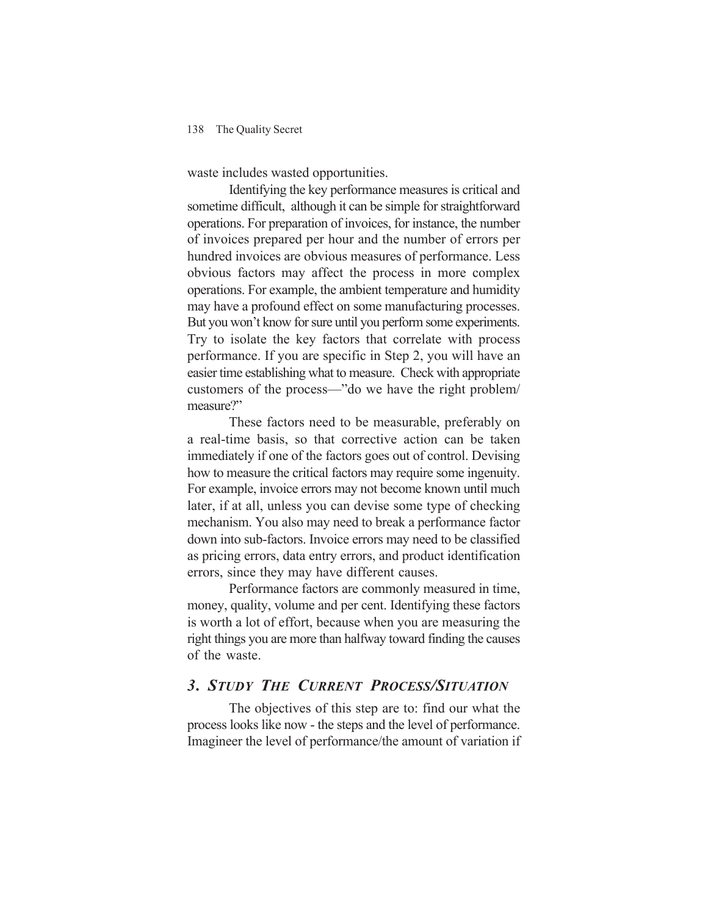waste includes wasted opportunities.

Identifying the key performance measures is critical and sometime difficult, although it can be simple for straightforward operations. For preparation of invoices, for instance, the number of invoices prepared per hour and the number of errors per hundred invoices are obvious measures of performance. Less obvious factors may affect the process in more complex operations. For example, the ambient temperature and humidity may have a profound effect on some manufacturing processes. But you won't know for sure until you perform some experiments. Try to isolate the key factors that correlate with process performance. If you are specific in Step 2, you will have an easier time establishing what to measure. Check with appropriate customers of the process—"do we have the right problem/ measure?"

These factors need to be measurable, preferably on a real-time basis, so that corrective action can be taken immediately if one of the factors goes out of control. Devising how to measure the critical factors may require some ingenuity. For example, invoice errors may not become known until much later, if at all, unless you can devise some type of checking mechanism. You also may need to break a performance factor down into sub-factors. Invoice errors may need to be classified as pricing errors, data entry errors, and product identification errors, since they may have different causes.

Performance factors are commonly measured in time, money, quality, volume and per cent. Identifying these factors is worth a lot of effort, because when you are measuring the right things you are more than halfway toward finding the causes of the waste.

#### *3. STUDY THE CURRENT PROCESS/SITUATION*

The objectives of this step are to: find our what the process looks like now - the steps and the level of performance. Imagineer the level of performance/the amount of variation if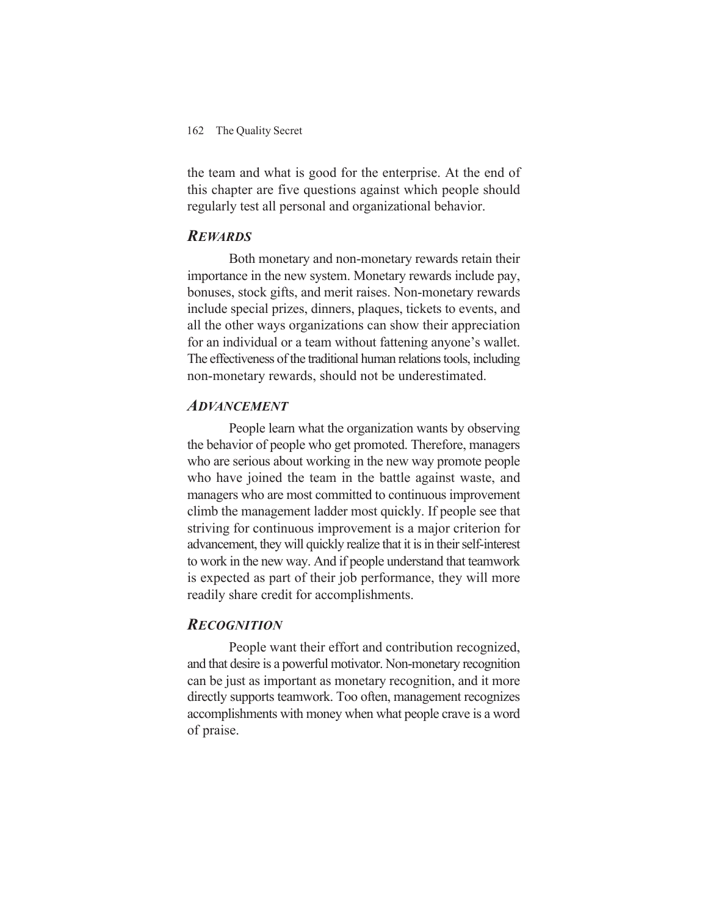the team and what is good for the enterprise. At the end of this chapter are five questions against which people should regularly test all personal and organizational behavior.

#### *REWARDS*

Both monetary and non-monetary rewards retain their importance in the new system. Monetary rewards include pay, bonuses, stock gifts, and merit raises. Non-monetary rewards include special prizes, dinners, plaques, tickets to events, and all the other ways organizations can show their appreciation for an individual or a team without fattening anyone's wallet. The effectiveness of the traditional human relations tools, including non-monetary rewards, should not be underestimated.

#### *ADVANCEMENT*

People learn what the organization wants by observing the behavior of people who get promoted. Therefore, managers who are serious about working in the new way promote people who have joined the team in the battle against waste, and managers who are most committed to continuous improvement climb the management ladder most quickly. If people see that striving for continuous improvement is a major criterion for advancement, they will quickly realize that it is in their self-interest to work in the new way. And if people understand that teamwork is expected as part of their job performance, they will more readily share credit for accomplishments.

#### *RECOGNITION*

People want their effort and contribution recognized, and that desire is a powerful motivator. Non-monetary recognition can be just as important as monetary recognition, and it more directly supports teamwork. Too often, management recognizes accomplishments with money when what people crave is a word of praise.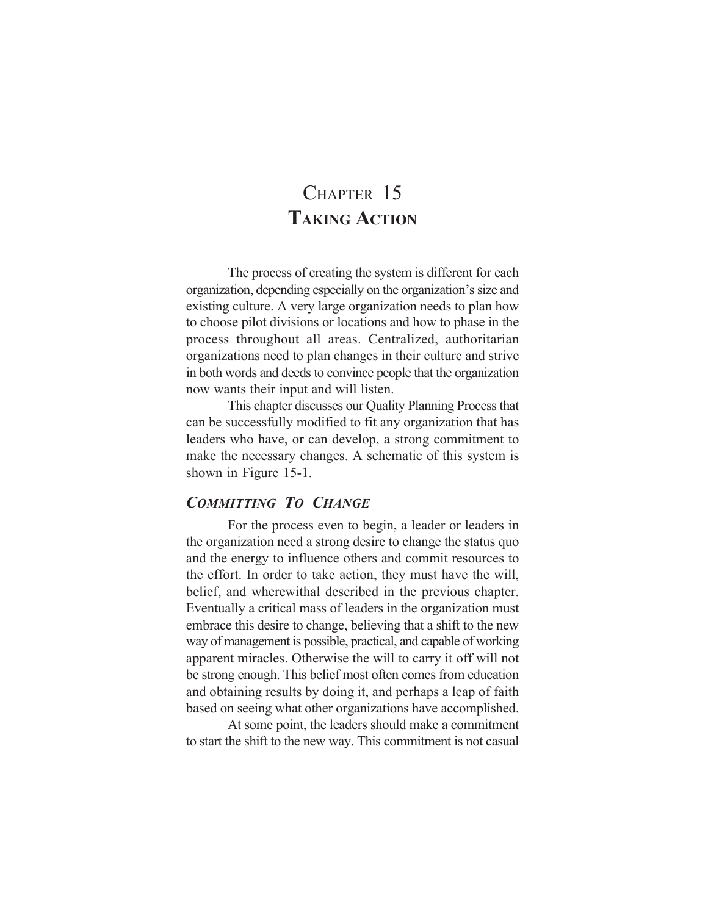### CHAPTER 15 **TAKING ACTION**

The process of creating the system is different for each organization, depending especially on the organization's size and existing culture. A very large organization needs to plan how to choose pilot divisions or locations and how to phase in the process throughout all areas. Centralized, authoritarian organizations need to plan changes in their culture and strive in both words and deeds to convince people that the organization now wants their input and will listen.

This chapter discusses our Quality Planning Process that can be successfully modified to fit any organization that has leaders who have, or can develop, a strong commitment to make the necessary changes. A schematic of this system is shown in Figure 15-1.

#### *COMMITTING TO CHANGE*

For the process even to begin, a leader or leaders in the organization need a strong desire to change the status quo and the energy to influence others and commit resources to the effort. In order to take action, they must have the will, belief, and wherewithal described in the previous chapter. Eventually a critical mass of leaders in the organization must embrace this desire to change, believing that a shift to the new way of management is possible, practical, and capable of working apparent miracles. Otherwise the will to carry it off will not be strong enough. This belief most often comes from education and obtaining results by doing it, and perhaps a leap of faith based on seeing what other organizations have accomplished.

At some point, the leaders should make a commitment to start the shift to the new way. This commitment is not casual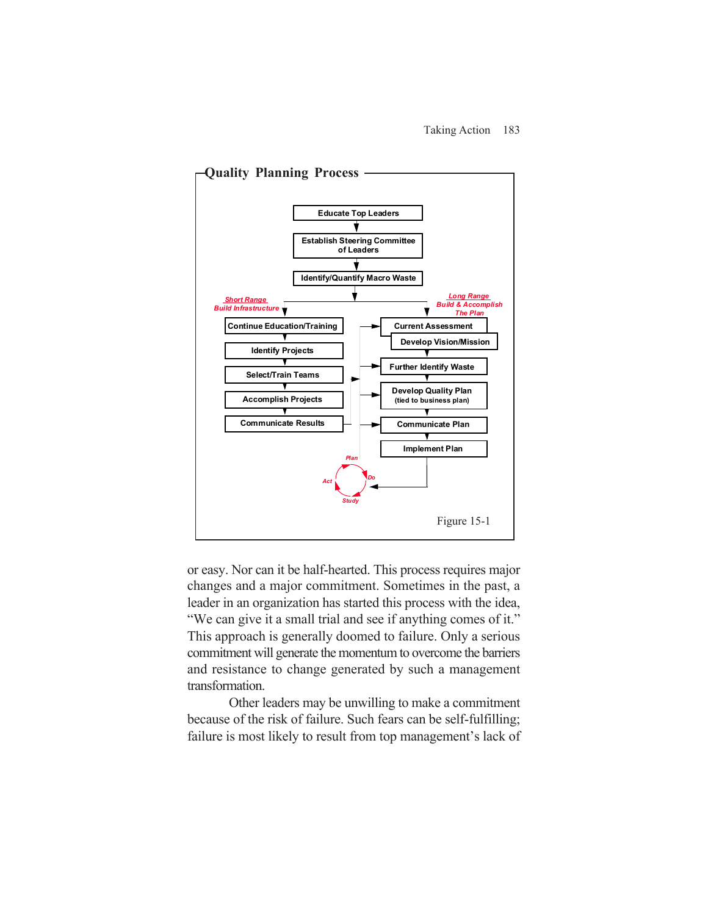

or easy. Nor can it be half-hearted. This process requires major changes and a major commitment. Sometimes in the past, a leader in an organization has started this process with the idea, "We can give it a small trial and see if anything comes of it." This approach is generally doomed to failure. Only a serious commitment will generate the momentum to overcome the barriers and resistance to change generated by such a management transformation.

Other leaders may be unwilling to make a commitment because of the risk of failure. Such fears can be self-fulfilling; failure is most likely to result from top management's lack of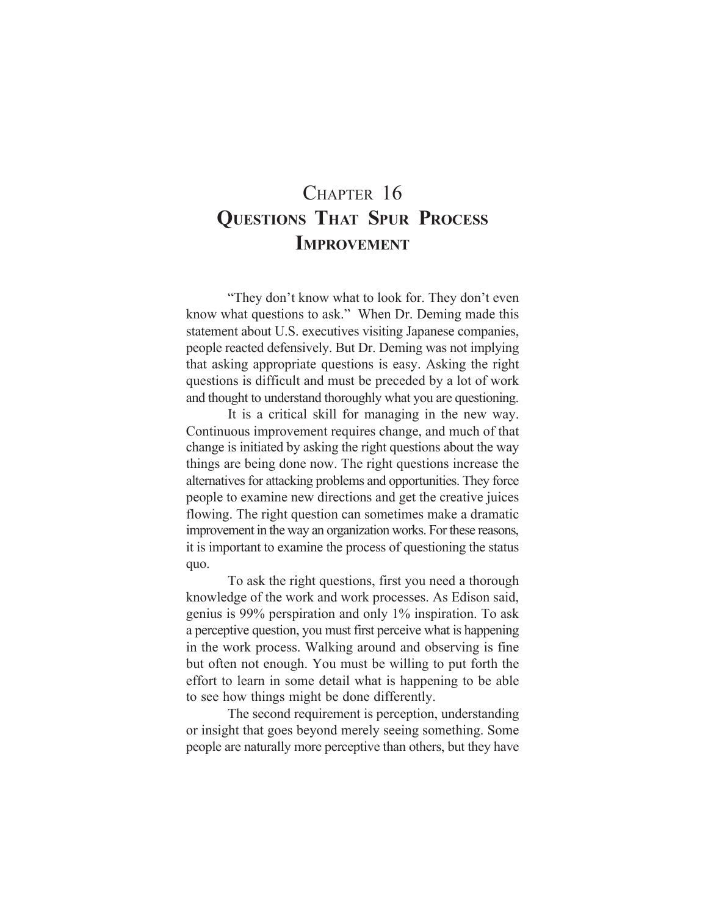# CHAPTER 16 **QUESTIONS THAT SPUR PROCESS IMPROVEMENT**

"They don't know what to look for. They don't even know what questions to ask." When Dr. Deming made this statement about U.S. executives visiting Japanese companies, people reacted defensively. But Dr. Deming was not implying that asking appropriate questions is easy. Asking the right questions is difficult and must be preceded by a lot of work and thought to understand thoroughly what you are questioning.

It is a critical skill for managing in the new way. Continuous improvement requires change, and much of that change is initiated by asking the right questions about the way things are being done now. The right questions increase the alternatives for attacking problems and opportunities. They force people to examine new directions and get the creative juices flowing. The right question can sometimes make a dramatic improvement in the way an organization works. For these reasons, it is important to examine the process of questioning the status quo.

To ask the right questions, first you need a thorough knowledge of the work and work processes. As Edison said, genius is 99% perspiration and only 1% inspiration. To ask a perceptive question, you must first perceive what is happening in the work process. Walking around and observing is fine but often not enough. You must be willing to put forth the effort to learn in some detail what is happening to be able to see how things might be done differently.

The second requirement is perception, understanding or insight that goes beyond merely seeing something. Some people are naturally more perceptive than others, but they have